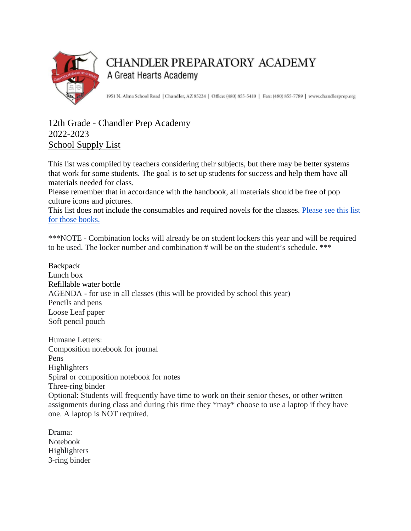

## **CHANDLER PREPARATORY ACADEMY** A Great Hearts Academy

1951 N. Alma School Road | Chandler, AZ 85224 | Office: (480) 855-5410 | Fax: (480) 855-7789 | www.chandlerprep.org

## 12th Grade - Chandler Prep Academy 2022-2023 School Supply List

This list was compiled by teachers considering their subjects, but there may be better systems that work for some students. The goal is to set up students for success and help them have all materials needed for class.

Please remember that in accordance with the handbook, all materials should be free of pop culture icons and pictures.

This list does not include the consumables and required novels for the classes. Please see this list [for those books.](https://chandlerprep.greatheartsamerica.org/academics/booksupply-lists/)

\*\*\*NOTE - Combination locks will already be on student lockers this year and will be required to be used. The locker number and combination # will be on the student's schedule. \*\*\*

**Backpack** Lunch box Refillable water bottle AGENDA - for use in all classes (this will be provided by school this year) Pencils and pens Loose Leaf paper Soft pencil pouch

Humane Letters: Composition notebook for journal Pens Highlighters Spiral or composition notebook for notes Three-ring binder Optional: Students will frequently have time to work on their senior theses, or other written assignments during class and during this time they \*may\* choose to use a laptop if they have one. A laptop is NOT required.

Drama: Notebook **Highlighters** 3-ring binder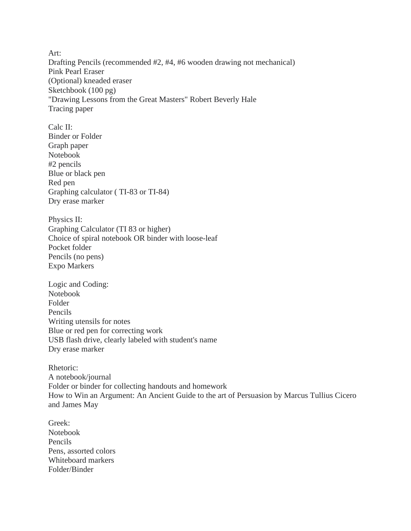Art: Drafting Pencils (recommended #2, #4, #6 wooden drawing not mechanical) Pink Pearl Eraser (Optional) kneaded eraser Sketchbook (100 pg) "Drawing Lessons from the Great Masters" Robert Beverly Hale Tracing paper

Calc II: Binder or Folder Graph paper Notebook #2 pencils Blue or black pen Red pen Graphing calculator ( TI-83 or TI-84) Dry erase marker

Physics II: Graphing Calculator (TI 83 or higher) Choice of spiral notebook OR binder with loose-leaf Pocket folder Pencils (no pens) Expo Markers

Logic and Coding: Notebook Folder Pencils Writing utensils for notes Blue or red pen for correcting work USB flash drive, clearly labeled with student's name Dry erase marker

Rhetoric: A notebook/journal Folder or binder for collecting handouts and homework How to Win an Argument: An Ancient Guide to the art of Persuasion by Marcus Tullius Cicero and James May

Greek: Notebook Pencils Pens, assorted colors Whiteboard markers Folder/Binder